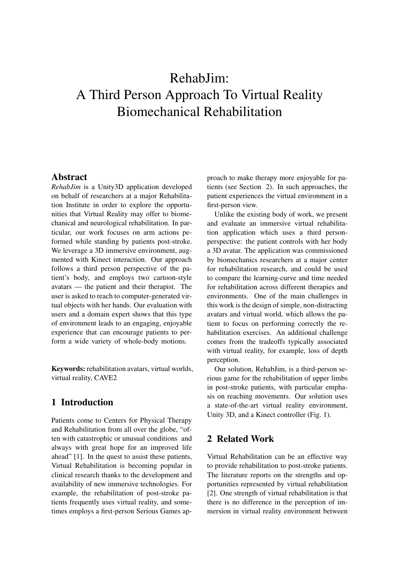# RehabJim: A Third Person Approach To Virtual Reality Biomechanical Rehabilitation

## Abstract

*RehabJim* is a Unity3D application developed on behalf of researchers at a major Rehabilitation Institute in order to explore the opportunities that Virtual Reality may offer to biomechanical and neurological rehabilitation. In particular, our work focuses on arm actions peformed while standing by patients post-stroke. We leverage a 3D immersive environment, augmented with Kinect interaction. Our approach follows a third person perspective of the patient's body, and employs two cartoon-style avatars — the patient and their therapist. The user is asked to reach to computer-generated virtual objects with her hands. Our evaluation with users and a domain expert shows that this type of environment leads to an engaging, enjoyable experience that can encourage patients to perform a wide variety of whole-body motions.

Keywords: rehabilitation avatars, virtual worlds, virtual reality, CAVE2

# 1 Introduction

Patients come to Centers for Physical Therapy and Rehabilitation from all over the globe, "often with catastrophic or unusual conditions and always with great hope for an improved life ahead" [1]. In the quest to assist these patients, Virtual Rehabilitation is becoming popular in clinical research thanks to the development and availability of new immersive technologies. For example, the rehabilitation of post-stroke patients frequently uses virtual reality, and sometimes employs a first-person Serious Games approach to make therapy more enjoyable for patients (see Section 2). In such approaches, the patient experiences the virtual environment in a first-person view.

Unlike the existing body of work, we present and evaluate an immersive virtual rehabilitation application which uses a third personperspective: the patient controls with her body a 3D avatar. The application was commissioned by biomechanics researchers at a major center for rehabilitation research, and could be used to compare the learning-curve and time needed for rehabilitation across different therapies and environments. One of the main challenges in this work is the design of simple, non-distracting avatars and virtual world, which allows the patient to focus on performing correctly the rehabilitation exercises. An additional challenge comes from the tradeoffs typically associated with virtual reality, for example, loss of depth perception.

Our solution, RehabJim, is a third-person serious game for the rehabilitation of upper limbs in post-stroke patients, with particular emphasis on reaching movements. Our solution uses a state-of-the-art virtual reality environment, Unity 3D, and a Kinect controller (Fig. 1).

# 2 Related Work

Virtual Rehabilitation can be an effective way to provide rehabilitation to post-stroke patients. The literature reports on the strengths and opportunities represented by virtual rehabilitation [2]. One strength of virtual rehabilitation is that there is no difference in the perception of immersion in virtual reality environment between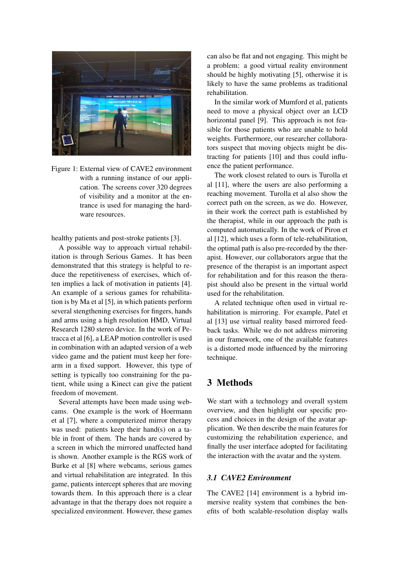

Figure 1: External view of CAVE2 environment with a running instance of our application. The screens cover 320 degrees of visibility and a monitor at the entrance is used for managing the hardware resources.

healthy patients and post-stroke patients [3].

A possible way to approach virtual rehabilitation is through Serious Games. It has been demonstrated that this strategy is helpful to reduce the repetitiveness of exercises, which often implies a lack of motivation in patients [4]. An example of a serious games for rehabilitation is by Ma et al [5], in which patients perform several stengthening exercises for fingers, hands and arms using a high resolution HMD, Virtual Research 1280 stereo device. In the work of Petracca et al [6], a LEAP motion controller is used in combination with an adapted version of a web video game and the patient must keep her forearm in a fixed support. However, this type of setting is typically too constraining for the patient, while using a Kinect can give the patient freedom of movement.

Several attempts have been made using webcams. One example is the work of Hoermann et al [7], where a computerized mirror therapy was used: patients keep their hand(s) on a table in front of them. The hands are covered by a screen in which the mirrored unaffected hand is shown. Another example is the RGS work of Burke et al [8] where webcams, serious games and virtual rehabilitation are integrated. In this game, patients intercept spheres that are moving towards them. In this approach there is a clear advantage in that the therapy does not require a specialized environment. However, these games

can also be flat and not engaging. This might be a problem: a good virtual reality environment should be highly motivating [5], otherwise it is likely to have the same problems as traditional rehabilitation.

In the similar work of Mumford et al, patients need to move a physical object over an LCD horizontal panel [9]. This approach is not feasible for those patients who are unable to hold weights. Furthermore, our researcher collaborators suspect that moving objects might be distracting for patients [10] and thus could influence the patient performance.

The work closest related to ours is Turolla et al [11], where the users are also performing a reaching movement. Turolla et al also show the correct path on the screen, as we do. However, in their work the correct path is established by the therapist, while in our approach the path is computed automatically. In the work of Piron et al [12], which uses a form of tele-rehabilitation, the optimal path is also pre-recorded by the therapist. However, our collaborators argue that the presence of the therapist is an important aspect for rehabilitation and for this reason the therapist should also be present in the virtual world used for the rehabilitation.

A related technique often used in virtual rehabilitation is mirroring. For example, Patel et al [13] use virtual reality based mirrored feedback tasks. While we do not address mirroring in our framework, one of the available features is a distorted mode influenced by the mirroring technique.

# 3 Methods

We start with a technology and overall system overview, and then highlight our specific process and choices in the design of the avatar application. We then describe the main features for customizing the rehabilitation experience, and finally the user interface adopted for facilitating the interaction with the avatar and the system.

#### *3.1 CAVE2 Environment*

The CAVE2 [14] environment is a hybrid immersive reality system that combines the benefits of both scalable-resolution display walls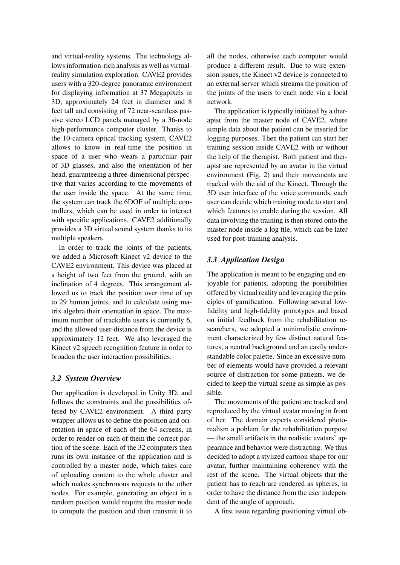and virtual-reality systems. The technology allows information-rich analysis as well as virtualreality simulation exploration. CAVE2 provides users with a 320-degree panoramic environment for displaying information at 37 Megapixels in 3D, approximately 24 feet in diameter and 8 feet tall and consisting of 72 near-seamless passive stereo LCD panels managed by a 36-node high-performance computer cluster. Thanks to the 10-camera optical tracking system, CAVE2 allows to know in real-time the position in space of a user who wears a particular pair of 3D glasses, and also the orientation of her head, guaranteeing a three-dimensional perspective that varies according to the movements of the user inside the space. At the same time, the system can track the 6DOF of multiple controllers, which can be used in order to interact with specific applications. CAVE2 additionally provides a 3D virtual sound system thanks to its multiple speakers.

In order to track the joints of the patients, we added a Microsoft Kinect v2 device to the CAVE2 environment. This device was placed at a height of two feet from the ground, with an inclination of 4 degrees. This arrangement allowed us to track the position over time of up to 29 human joints, and to calculate using matrix algebra their orientation in space. The maximum number of trackable users is currently 6, and the allowed user-distance from the device is approximately 12 feet. We also leveraged the Kinect v2 speech recognition feature in order to broaden the user interaction possibilities.

#### *3.2 System Overview*

Our application is developed in Unity 3D, and follows the constraints and the possibilities offered by CAVE2 environment. A third party wrapper allows us to define the position and orientation in space of each of the 64 screens, in order to render on each of them the correct portion of the scene. Each of the 32 computers then runs its own instance of the application and is controlled by a master node, which takes care of uploading content to the whole cluster and which makes synchronous requests to the other nodes. For example, generating an object in a random position would require the master node to compute the position and then transmit it to all the nodes, otherwise each computer would produce a different result. Due to wire extension issues, the Kinect v2 device is connected to an external server which streams the position of the joints of the users to each node via a local network.

The application is typically initiated by a therapist from the master node of CAVE2, where simple data about the patient can be inserted for logging purposes. Then the patient can start her training session inside CAVE2 with or without the help of the therapist. Both patient and therapist are represented by an avatar in the virtual environment (Fig. 2) and their movements are tracked with the aid of the Kinect. Through the 3D user interface of the voice commands, each user can decide which training mode to start and which features to enable during the session. All data involving the training is then stored onto the master node inside a log file, which can be later used for post-training analysis.

#### *3.3 Application Design*

The application is meant to be engaging and enjoyable for patients, adopting the possibilities offered by virtual reality and leveraging the principles of gamification. Following several lowfidelity and high-fidelity prototypes and based on initial feedback from the rehabilitation researchers, we adopted a minimalistic environment characterized by few distinct natural features, a neutral background and an easily understandable color palette. Since an excessive number of elements would have provided a relevant source of distraction for some patients, we decided to keep the virtual scene as simple as possible.

The movements of the patient are tracked and reproduced by the virtual avatar moving in front of her. The domain experts considered photorealism a poblem for the rehabilitation purpose — the small artifacts in the realistic avatars' appearance and behavior were distracting. We thus decided to adopt a stylized cartoon shape for our avatar, further maintaining coherency with the rest of the scene. The virtual objects that the patient has to reach are rendered as spheres, in order to have the distance from the user independent of the angle of approach.

A first issue regarding positioning virtual ob-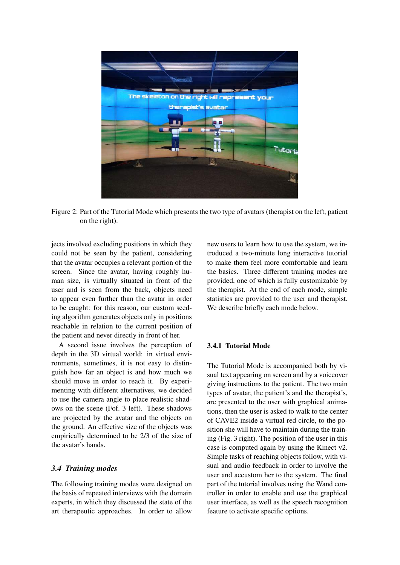

Figure 2: Part of the Tutorial Mode which presents the two type of avatars (therapist on the left, patient on the right).

jects involved excluding positions in which they could not be seen by the patient, considering that the avatar occupies a relevant portion of the screen. Since the avatar, having roughly human size, is virtually situated in front of the user and is seen from the back, objects need to appear even further than the avatar in order to be caught: for this reason, our custom seeding algorithm generates objects only in positions reachable in relation to the current position of the patient and never directly in front of her.

A second issue involves the perception of depth in the 3D virtual world: in virtual environments, sometimes, it is not easy to distinguish how far an object is and how much we should move in order to reach it. By experimenting with different alternatives, we decided to use the camera angle to place realistic shadows on the scene (Fof. 3 left). These shadows are projected by the avatar and the objects on the ground. An effective size of the objects was empirically determined to be 2/3 of the size of the avatar's hands.

#### *3.4 Training modes*

The following training modes were designed on the basis of repeated interviews with the domain experts, in which they discussed the state of the art therapeutic approaches. In order to allow

new users to learn how to use the system, we introduced a two-minute long interactive tutorial to make them feel more comfortable and learn the basics. Three different training modes are provided, one of which is fully customizable by the therapist. At the end of each mode, simple statistics are provided to the user and therapist. We describe briefly each mode below.

### 3.4.1 Tutorial Mode

The Tutorial Mode is accompanied both by visual text appearing on screen and by a voiceover giving instructions to the patient. The two main types of avatar, the patient's and the therapist's, are presented to the user with graphical animations, then the user is asked to walk to the center of CAVE2 inside a virtual red circle, to the position she will have to maintain during the training (Fig. 3 right). The position of the user in this case is computed again by using the Kinect v2. Simple tasks of reaching objects follow, with visual and audio feedback in order to involve the user and accustom her to the system. The final part of the tutorial involves using the Wand controller in order to enable and use the graphical user interface, as well as the speech recognition feature to activate specific options.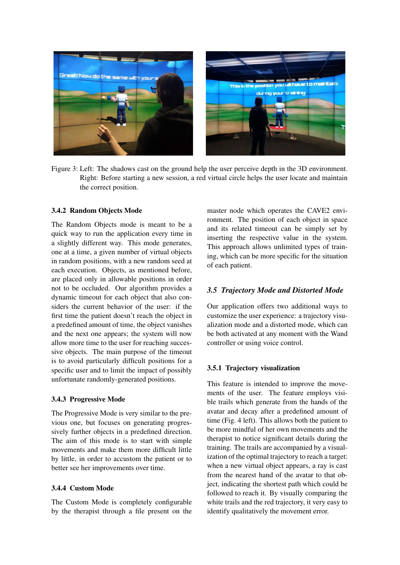

Figure 3: Left: The shadows cast on the ground help the user perceive depth in the 3D environment. Right: Before starting a new session, a red virtual circle helps the user locate and maintain the correct position.

#### 3.4.2 Random Objects Mode

The Random Objects mode is meant to be a quick way to run the application every time in a slightly different way. This mode generates, one at a time, a given number of virtual objects in random positions, with a new random seed at each execution. Objects, as mentioned before, are placed only in allowable positions in order not to be occluded. Our algorithm provides a dynamic timeout for each object that also considers the current behavior of the user: if the first time the patient doesn't reach the object in a predefined amount of time, the object vanishes and the next one appears; the system will now allow more time to the user for reaching successive objects. The main purpose of the timeout is to avoid particularly difficult positions for a specific user and to limit the impact of possibly unfortunate randomly-generated positions.

#### 3.4.3 Progressive Mode

The Progressive Mode is very similar to the previous one, but focuses on generating progressively further objects in a predefined direction. The aim of this mode is to start with simple movements and make them more difficult little by little, in order to accustom the patient or to better see her improvements over time.

#### 3.4.4 Custom Mode

The Custom Mode is completely configurable by the therapist through a file present on the

master node which operates the CAVE2 environment. The position of each object in space and its related timeout can be simply set by inserting the respective value in the system. This approach allows unlimited types of training, which can be more specific for the situation of each patient.

#### *3.5 Trajectory Mode and Distorted Mode*

Our application offers two additional ways to customize the user experience: a trajectory visualization mode and a distorted mode, which can be both activated at any moment with the Wand controller or using voice control.

#### 3.5.1 Trajectory visualization

This feature is intended to improve the movements of the user. The feature employs visible trails which generate from the hands of the avatar and decay after a predefined amount of time (Fig. 4 left). This allows both the patient to be more mindful of her own movements and the therapist to notice significant details during the training. The trails are accompanied by a visualization of the optimal trajectory to reach a target: when a new virtual object appears, a ray is cast from the nearest hand of the avatar to that object, indicating the shortest path which could be followed to reach it. By visually comparing the white trails and the red trajectory, it very easy to identify qualitatively the movement error.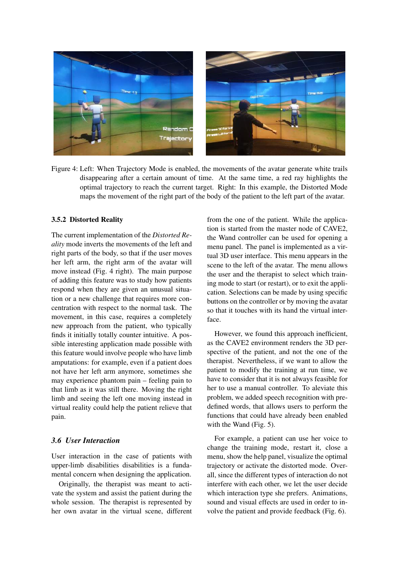

Figure 4: Left: When Trajectory Mode is enabled, the movements of the avatar generate white trails disappearing after a certain amount of time. At the same time, a red ray highlights the optimal trajectory to reach the current target. Right: In this example, the Distorted Mode maps the movement of the right part of the body of the patient to the left part of the avatar.

#### 3.5.2 Distorted Reality

The current implementation of the *Distorted Reality* mode inverts the movements of the left and right parts of the body, so that if the user moves her left arm, the right arm of the avatar will move instead (Fig. 4 right). The main purpose of adding this feature was to study how patients respond when they are given an unusual situation or a new challenge that requires more concentration with respect to the normal task. The movement, in this case, requires a completely new approach from the patient, who typically finds it initially totally counter intuitive. A possible interesting application made possible with this feature would involve people who have limb amputations: for example, even if a patient does not have her left arm anymore, sometimes she may experience phantom pain – feeling pain to that limb as it was still there. Moving the right limb and seeing the left one moving instead in virtual reality could help the patient relieve that pain.

## *3.6 User Interaction*

User interaction in the case of patients with upper-limb disabilities disabilities is a fundamental concern when designing the application.

Originally, the therapist was meant to activate the system and assist the patient during the whole session. The therapist is represented by her own avatar in the virtual scene, different from the one of the patient. While the application is started from the master node of CAVE2, the Wand controller can be used for opening a menu panel. The panel is implemented as a virtual 3D user interface. This menu appears in the scene to the left of the avatar. The menu allows the user and the therapist to select which training mode to start (or restart), or to exit the application. Selections can be made by using specific buttons on the controller or by moving the avatar so that it touches with its hand the virtual interface.

However, we found this approach inefficient, as the CAVE2 environment renders the 3D perspective of the patient, and not the one of the therapist. Nevertheless, if we want to allow the patient to modify the training at run time, we have to consider that it is not always feasible for her to use a manual controller. To aleviate this problem, we added speech recognition with predefined words, that allows users to perform the functions that could have already been enabled with the Wand (Fig. 5).

For example, a patient can use her voice to change the training mode, restart it, close a menu, show the help panel, visualize the optimal trajectory or activate the distorted mode. Overall, since the different types of interaction do not interfere with each other, we let the user decide which interaction type she prefers. Animations, sound and visual effects are used in order to involve the patient and provide feedback (Fig. 6).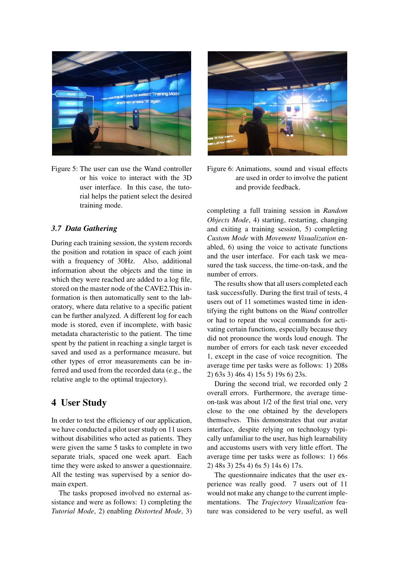

Figure 5: The user can use the Wand controller or his voice to interact with the 3D user interface. In this case, the tutorial helps the patient select the desired training mode.

#### *3.7 Data Gathering*

During each training session, the system records the position and rotation in space of each joint with a frequency of 30Hz. Also, additional information about the objects and the time in which they were reached are added to a log file, stored on the master node of the CAVE2.This information is then automatically sent to the laboratory, where data relative to a specific patient can be further analyzed. A different log for each mode is stored, even if incomplete, with basic metadata characteristic to the patient. The time spent by the patient in reaching a single target is saved and used as a performance measure, but other types of error measurements can be inferred and used from the recorded data (e.g., the relative angle to the optimal trajectory).

# 4 User Study

In order to test the efficiency of our application, we have conducted a pilot user study on 11 users without disabilities who acted as patients. They were given the same 5 tasks to complete in two separate trials, spaced one week apart. Each time they were asked to answer a questionnaire. All the testing was supervised by a senior domain expert.

The tasks proposed involved no external assistance and were as follows: 1) completing the *Tutorial Mode*, 2) enabling *Distorted Mode*, 3)



Figure 6: Animations, sound and visual effects are used in order to involve the patient and provide feedback.

completing a full training session in *Random Objects Mode*, 4) starting, restarting, changing and exiting a training session, 5) completing *Custom Mode* with *Movement Visualization* enabled, 6) using the voice to activate functions and the user interface. For each task we measured the task success, the time-on-task, and the number of errors.

The results show that all users completed each task successfully. During the first trail of tests, 4 users out of 11 sometimes wasted time in identifying the right buttons on the *Wand* controller or had to repeat the vocal commands for activating certain functions, especially because they did not pronounce the words loud enough. The number of errors for each task never exceeded 1, except in the case of voice recognition. The average time per tasks were as follows: 1) 208s 2) 63s 3) 46s 4) 15s 5) 19s 6) 23s.

During the second trial, we recorded only 2 overall errors. Furthermore, the average timeon-task was about 1/2 of the first trial one, very close to the one obtained by the developers themselves. This demonstrates that our avatar interface, despite relying on technology typically unfamiliar to the user, has high learnability and accustoms users with very little effort. The average time per tasks were as follows: 1) 66s 2) 48s 3) 25s 4) 6s 5) 14s 6) 17s.

The questionnaire indicates that the user experience was really good. 7 users out of 11 would not make any change to the current implementations. The *Trajectory Visualization* feature was considered to be very useful, as well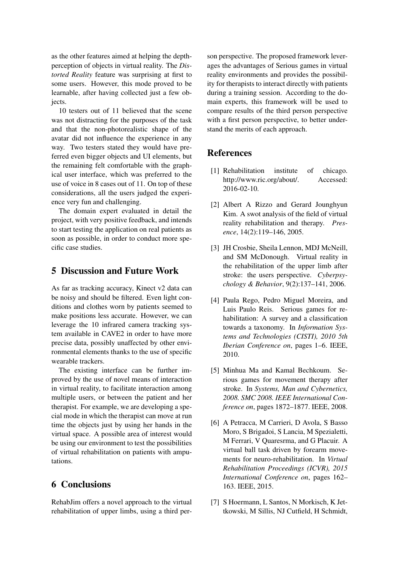as the other features aimed at helping the depthperception of objects in virtual reality. The *Distorted Reality* feature was surprising at first to some users. However, this mode proved to be learnable, after having collected just a few objects.

10 testers out of 11 believed that the scene was not distracting for the purposes of the task and that the non-photorealistic shape of the avatar did not influence the experience in any way. Two testers stated they would have preferred even bigger objects and UI elements, but the remaining felt comfortable with the graphical user interface, which was preferred to the use of voice in 8 cases out of 11. On top of these considerations, all the users judged the experience very fun and challenging.

The domain expert evaluated in detail the project, with very positive feedback, and intends to start testing the application on real patients as soon as possible, in order to conduct more specific case studies.

# 5 Discussion and Future Work

As far as tracking accuracy, Kinect v2 data can be noisy and should be filtered. Even light conditions and clothes worn by patients seemed to make positions less accurate. However, we can leverage the 10 infrared camera tracking system available in CAVE2 in order to have more precise data, possibly unaffected by other environmental elements thanks to the use of specific wearable trackers.

The existing interface can be further improved by the use of novel means of interaction in virtual reality, to facilitate interaction among multiple users, or between the patient and her therapist. For example, we are developing a special mode in which the therapist can move at run time the objects just by using her hands in the virtual space. A possible area of interest would be using our environment to test the possibilities of virtual rehabilitation on patients with amputations.

# 6 Conclusions

RehabJim offers a novel approach to the virtual rehabilitation of upper limbs, using a third person perspective. The proposed framework leverages the advantages of Serious games in virtual reality environments and provides the possibility for therapists to interact directly with patients during a training session. According to the domain experts, this framework will be used to compare results of the third person perspective with a first person perspective, to better understand the merits of each approach.

## **References**

- [1] Rehabilitation institute of chicago. http://www.ric.org/about/. Accessed: 2016-02-10.
- [2] Albert A Rizzo and Gerard Jounghyun Kim. A swot analysis of the field of virtual reality rehabilitation and therapy. *Presence*, 14(2):119–146, 2005.
- [3] JH Crosbie, Sheila Lennon, MDJ McNeill, and SM McDonough. Virtual reality in the rehabilitation of the upper limb after stroke: the users perspective. *Cyberpsychology & Behavior*, 9(2):137–141, 2006.
- [4] Paula Rego, Pedro Miguel Moreira, and Luis Paulo Reis. Serious games for rehabilitation: A survey and a classification towards a taxonomy. In *Information Systems and Technologies (CISTI), 2010 5th Iberian Conference on*, pages 1–6. IEEE, 2010.
- [5] Minhua Ma and Kamal Bechkoum. Serious games for movement therapy after stroke. In *Systems, Man and Cybernetics, 2008. SMC 2008. IEEE International Conference on*, pages 1872–1877. IEEE, 2008.
- [6] A Petracca, M Carrieri, D Avola, S Basso Moro, S Brigadoi, S Lancia, M Spezialetti, M Ferrari, V Quaresrma, and G Placuir. A virtual ball task driven by forearm movements for neuro-rehabilitation. In *Virtual Rehabilitation Proceedings (ICVR), 2015 International Conference on*, pages 162– 163. IEEE, 2015.
- [7] S Hoermann, L Santos, N Morkisch, K Jettkowski, M Sillis, NJ Cutfield, H Schmidt,